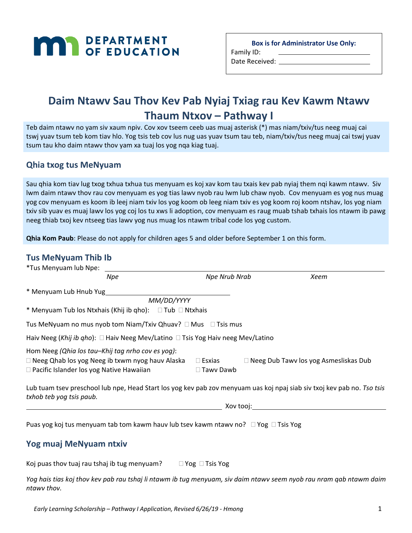# **MAN** DEPARTMENT

**Box is for Administrator Use Only:** 

Family ID: Date Received: \_\_\_\_\_\_\_\_\_

# **Daim Ntawv Sau Thov Kev Pab Nyiaj Txiag rau Kev Kawm Ntawv Thaum Ntxov – Pathway I**

Teb daim ntawv no yam siv xaum npiv. Cov xov tseem ceeb uas muaj asterisk (\*) mas niam/txiv/tus neeg muaj cai tswj yuav tsum teb kom tiav hlo. Yog tsis teb cov lus nug uas yuav tsum tau teb, niam/txiv/tus neeg muaj cai tswj yuav tsum tau kho daim ntawv thov yam xa tuaj los yog nqa kiag tuaj.

### **Qhia txog tus MeNyuam**

Sau qhia kom tiav lug txog txhua txhua tus menyuam es koj xav kom tau txais kev pab nyiaj them nqi kawm ntawv. Siv lwm daim ntawv thov rau cov menyuam es yog tias lawv nyob rau lwm lub chaw nyob. Cov menyuam es yog nus muag yog cov menyuam es koom ib leej niam txiv los yog koom ob leeg niam txiv es yog koom roj koom ntshav, los yog niam txiv sib yuav es muaj lawv los yog coj los tu xws li adoption, cov menyuam es raug muab tshab txhais los ntawm ib pawg neeg thiab txoj kev ntseeg tias lawv yog nus muag los ntawm tribal code los yog custom.

**Qhia Kom Paub**: Please do not apply for children ages 5 and older before September 1 on this form.

### **Tus MeNyuam Thib Ib**

| *Tus Menyuam lub Npe:                                                                                |                                                                                           |                                   |                                                                                                                         |
|------------------------------------------------------------------------------------------------------|-------------------------------------------------------------------------------------------|-----------------------------------|-------------------------------------------------------------------------------------------------------------------------|
|                                                                                                      | Npe                                                                                       | Npe Nrub Nrab                     | Xeem                                                                                                                    |
| * Menyuam Lub Hnub Yug                                                                               |                                                                                           |                                   |                                                                                                                         |
|                                                                                                      | MM/DD/YYYY                                                                                |                                   |                                                                                                                         |
|                                                                                                      | * Menyuam Tub los Ntxhais (Khij ib qho): $\Box$ Tub $\Box$ Ntxhais                        |                                   |                                                                                                                         |
|                                                                                                      | Tus MeNyuam no mus nyob tom Niam/Txiv Qhuav? $\Box$ Mus $\Box$ Tsis mus                   |                                   |                                                                                                                         |
|                                                                                                      | Haiv Neeg (Khij ib qho): $\Box$ Haiv Neeg Mev/Latino $\Box$ Tsis Yog Haiv neeg Mev/Latino |                                   |                                                                                                                         |
| Hom Neeg (Qhia los tau-Khij tag nrho cov es yog):<br>$\Box$ Pacific Islander los yog Native Hawaiian | $\Box$ Neeg Qhab los yog Neeg ib txwm nyog hauv Alaska                                    | $\Box$ Esxias<br>$\Box$ Tawy Dawb | □ Neeg Dub Tawv los yog Asmesliskas Dub                                                                                 |
|                                                                                                      |                                                                                           |                                   | Lub tuam tsev preschool lub npe, Head Start los yog kev pab zov menyuam uas koj npaj siab siv txoj kev pab no. Tso tsis |

Lub tuam tsev preschool lub npe, Head Start los yog kev pab zov menyuam uas koj npaj siab siv txoj kev pab no. *Tso tsis txhob teb yog tsis paub.*

Xov tooj:

Puas yog koj tus menyuam tab tom kawm hauv lub tsev kawm ntawv no?  $\Box$  Yog  $\Box$  Tsis Yog

### **Yog muaj MeNyuam ntxiv**

Koj puas thov tuaj rau tshaj ib tug menyuam?  $\Box$  Yog  $\Box$  Tsis Yog

*Yog hais tias koj thov kev pab rau tshaj li ntawm ib tug menyuam, siv daim ntawv seem nyob rau nram qab ntawm daim ntawv thov.*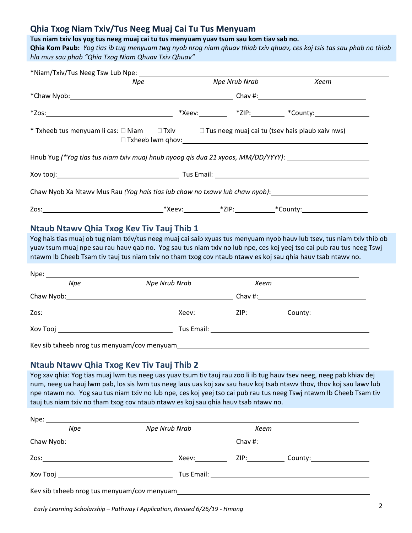### **Qhia Txog Niam Txiv/Tus Neeg Muaj Cai Tu Tus Menyuam**

### **Tus niam txiv los yog tus neeg muaj cai tu tus menyuam yuav tsum sau kom tiav sab no.**

**Qhia Kom Paub:** *Yog tias ib tug menyuam twg nyob nrog niam qhuav thiab txiv qhuav, ces koj tsis tas sau phab no thiab hla mus sau phab "Qhia Txog Niam Qhuav Txiv Qhuav"*

| Npe Nrub Nrab<br>Xeem<br>Npe<br>* Txheeb tus menyuam li cas: □ Niam □ Txiv □ Tus neeg muaj cai tu (tsev hais plaub xaiv nws)<br>Hnub Yug (*Yog tias tus niam txiv muaj hnub nyoog qis dua 21 xyoos, MM/DD/YYYY): ___________________<br>Xov tooj: Nov tooj: November 2012   November 2013   November 2013   November 2014   November 2014   November 20<br>Chaw Nyob Xa Ntawy Mus Rau (Yog hais tias lub chaw no txawy lub chaw nyob): ________________________<br>Ntaub Ntawy Qhia Txog Key Tiv Tauj Thib 1<br>Yog hais tias muaj ob tug niam txiv/tus neeg muaj cai saib xyuas tus menyuam nyob hauv lub tsev, tus niam txiv thib ob<br>yuav tsum muaj npe sau rau hauv gab no. Yog sau tus niam txiv no lub npe, ces koj yeej tso cai pub rau tus neeg Tswj<br>ntawm Ib Cheeb Tsam tiv tauj tus niam txiv no tham txog cov ntaub ntawv es koj sau qhia hauv tsab ntawv no.<br>Npe: _________<br>Npe Nrub Nrab<br><b>Npe</b><br>Xeem<br>Chaw Nyob: Chaw Nyob: 2008 2012 2013 2014 2014 2022 2023 2024 2024 2022 2023 2024 2022 2023 2024 2022 2023 202<br>Kev sib txheeb nrog tus menyuam/cov menyuam et all and the state of the state of the state of the state of the<br>Ntaub Ntawy Qhia Txog Key Tiv Tauj Thib 2<br>num, neeg ua hauj lwm pab, los sis lwm tus neeg laus uas koj xav sau hauv koj tsab ntawv thov, thov koj sau lawv lub<br>npe ntawm no. Yog sau tus niam txiv no lub npe, ces koj yeej tso cai pub rau tus neeg Tswj ntawm Ib Cheeb Tsam tiv<br>tauj tus niam txiv no tham txog cov ntaub ntawy es koj sau ghia hauv tsab ntawy no.<br><b>Npe Nrub Nrab</b><br>Npe<br>Xeem |  |  |  |
|-----------------------------------------------------------------------------------------------------------------------------------------------------------------------------------------------------------------------------------------------------------------------------------------------------------------------------------------------------------------------------------------------------------------------------------------------------------------------------------------------------------------------------------------------------------------------------------------------------------------------------------------------------------------------------------------------------------------------------------------------------------------------------------------------------------------------------------------------------------------------------------------------------------------------------------------------------------------------------------------------------------------------------------------------------------------------------------------------------------------------------------------------------------------------------------------------------------------------------------------------------------------------------------------------------------------------------------------------------------------------------------------------------------------------------------------------------------------------------------------------------------------------------------------------------------------------------------------------------|--|--|--|
| Yog xav qhia: Yog tias muaj lwm tus neeg uas yuav tsum tiv tauj rau zoo li ib tug hauv tsev neeg, neeg pab khiav dej                                                                                                                                                                                                                                                                                                                                                                                                                                                                                                                                                                                                                                                                                                                                                                                                                                                                                                                                                                                                                                                                                                                                                                                                                                                                                                                                                                                                                                                                                |  |  |  |
|                                                                                                                                                                                                                                                                                                                                                                                                                                                                                                                                                                                                                                                                                                                                                                                                                                                                                                                                                                                                                                                                                                                                                                                                                                                                                                                                                                                                                                                                                                                                                                                                     |  |  |  |
|                                                                                                                                                                                                                                                                                                                                                                                                                                                                                                                                                                                                                                                                                                                                                                                                                                                                                                                                                                                                                                                                                                                                                                                                                                                                                                                                                                                                                                                                                                                                                                                                     |  |  |  |
|                                                                                                                                                                                                                                                                                                                                                                                                                                                                                                                                                                                                                                                                                                                                                                                                                                                                                                                                                                                                                                                                                                                                                                                                                                                                                                                                                                                                                                                                                                                                                                                                     |  |  |  |
|                                                                                                                                                                                                                                                                                                                                                                                                                                                                                                                                                                                                                                                                                                                                                                                                                                                                                                                                                                                                                                                                                                                                                                                                                                                                                                                                                                                                                                                                                                                                                                                                     |  |  |  |
|                                                                                                                                                                                                                                                                                                                                                                                                                                                                                                                                                                                                                                                                                                                                                                                                                                                                                                                                                                                                                                                                                                                                                                                                                                                                                                                                                                                                                                                                                                                                                                                                     |  |  |  |
|                                                                                                                                                                                                                                                                                                                                                                                                                                                                                                                                                                                                                                                                                                                                                                                                                                                                                                                                                                                                                                                                                                                                                                                                                                                                                                                                                                                                                                                                                                                                                                                                     |  |  |  |
|                                                                                                                                                                                                                                                                                                                                                                                                                                                                                                                                                                                                                                                                                                                                                                                                                                                                                                                                                                                                                                                                                                                                                                                                                                                                                                                                                                                                                                                                                                                                                                                                     |  |  |  |
|                                                                                                                                                                                                                                                                                                                                                                                                                                                                                                                                                                                                                                                                                                                                                                                                                                                                                                                                                                                                                                                                                                                                                                                                                                                                                                                                                                                                                                                                                                                                                                                                     |  |  |  |
|                                                                                                                                                                                                                                                                                                                                                                                                                                                                                                                                                                                                                                                                                                                                                                                                                                                                                                                                                                                                                                                                                                                                                                                                                                                                                                                                                                                                                                                                                                                                                                                                     |  |  |  |
|                                                                                                                                                                                                                                                                                                                                                                                                                                                                                                                                                                                                                                                                                                                                                                                                                                                                                                                                                                                                                                                                                                                                                                                                                                                                                                                                                                                                                                                                                                                                                                                                     |  |  |  |
|                                                                                                                                                                                                                                                                                                                                                                                                                                                                                                                                                                                                                                                                                                                                                                                                                                                                                                                                                                                                                                                                                                                                                                                                                                                                                                                                                                                                                                                                                                                                                                                                     |  |  |  |
|                                                                                                                                                                                                                                                                                                                                                                                                                                                                                                                                                                                                                                                                                                                                                                                                                                                                                                                                                                                                                                                                                                                                                                                                                                                                                                                                                                                                                                                                                                                                                                                                     |  |  |  |
|                                                                                                                                                                                                                                                                                                                                                                                                                                                                                                                                                                                                                                                                                                                                                                                                                                                                                                                                                                                                                                                                                                                                                                                                                                                                                                                                                                                                                                                                                                                                                                                                     |  |  |  |
|                                                                                                                                                                                                                                                                                                                                                                                                                                                                                                                                                                                                                                                                                                                                                                                                                                                                                                                                                                                                                                                                                                                                                                                                                                                                                                                                                                                                                                                                                                                                                                                                     |  |  |  |
|                                                                                                                                                                                                                                                                                                                                                                                                                                                                                                                                                                                                                                                                                                                                                                                                                                                                                                                                                                                                                                                                                                                                                                                                                                                                                                                                                                                                                                                                                                                                                                                                     |  |  |  |
|                                                                                                                                                                                                                                                                                                                                                                                                                                                                                                                                                                                                                                                                                                                                                                                                                                                                                                                                                                                                                                                                                                                                                                                                                                                                                                                                                                                                                                                                                                                                                                                                     |  |  |  |
|                                                                                                                                                                                                                                                                                                                                                                                                                                                                                                                                                                                                                                                                                                                                                                                                                                                                                                                                                                                                                                                                                                                                                                                                                                                                                                                                                                                                                                                                                                                                                                                                     |  |  |  |
|                                                                                                                                                                                                                                                                                                                                                                                                                                                                                                                                                                                                                                                                                                                                                                                                                                                                                                                                                                                                                                                                                                                                                                                                                                                                                                                                                                                                                                                                                                                                                                                                     |  |  |  |
|                                                                                                                                                                                                                                                                                                                                                                                                                                                                                                                                                                                                                                                                                                                                                                                                                                                                                                                                                                                                                                                                                                                                                                                                                                                                                                                                                                                                                                                                                                                                                                                                     |  |  |  |
|                                                                                                                                                                                                                                                                                                                                                                                                                                                                                                                                                                                                                                                                                                                                                                                                                                                                                                                                                                                                                                                                                                                                                                                                                                                                                                                                                                                                                                                                                                                                                                                                     |  |  |  |
|                                                                                                                                                                                                                                                                                                                                                                                                                                                                                                                                                                                                                                                                                                                                                                                                                                                                                                                                                                                                                                                                                                                                                                                                                                                                                                                                                                                                                                                                                                                                                                                                     |  |  |  |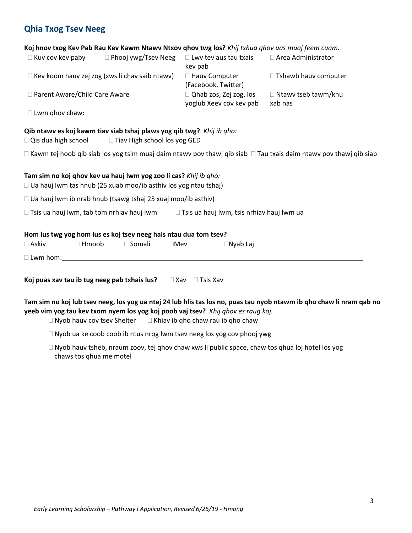### **Qhia Txog Tsev Neeg**

#### **Koj hnov txog Kev Pab Rau Kev Kawm Ntawv Ntxov qhov twg los?** *Khij txhua qhov uas muaj feem cuam.*

| $\Box$ Kuv cov kev paby         | $\Box$ Phooj ywg/Tsev Neeg                            | $\Box$ Lwy tev aus tau txais  | $\Box$ Area Administrator   |
|---------------------------------|-------------------------------------------------------|-------------------------------|-----------------------------|
|                                 |                                                       | key pab                       |                             |
|                                 | $\Box$ Kev koom hauv zej zog (xws li chav saib ntawv) | $\Box$ Hauv Computer          | $\Box$ Tshawb hauv computer |
|                                 |                                                       | (Facebook, Twitter)           |                             |
| □ Parent Aware/Child Care Aware |                                                       | $\Box$ Qhab zos, Zej zog, los | $\Box$ Ntawy tseb tawm/khu  |
|                                 |                                                       | yoglub Xeev cov kev pab       | xab nas                     |

 $\square$  Lwm qhov chaw:

#### **Qib ntawv es koj kawm tiav siab tshaj plaws yog qib twg?** *Khij ib qho:*

 $\Box$  Qis dua high school  $\Box$  Tiav High school los yog GED

 $\Box$  Kawm tej hoob qib siab los yog tsim muaj daim ntawv pov thawj qib siab  $\Box$  Tau txais daim ntawv pov thawj qib siab

#### **Tam sim no koj qhov kev ua hauj lwm yog zoo li cas?** *Khij ib qho:*

 $\Box$  Ua hauj lwm tas hnub (25 xuab moo/ib asthiv los yog ntau tshaj)

 $\Box$  Ua hauj lwm ib nrab hnub (tsawg tshaj 25 xuaj moo/ib asthiv)

 $\Box$  Tsis ua hauj lwm, tab tom nrhiav hauj lwm  $\Box$  Tsis ua hauj lwm, tsis nrhiav hauj lwm ua

#### **Hom lus twg yog hom lus es koj tsev neeg hais ntau dua tom tsev?**

| $\square$ Askiv | Hmoob | ™ Somali | ∃Mev | $\Box$ Nyab Laj |
|-----------------|-------|----------|------|-----------------|
| $\Box$ Lwm hom: |       |          |      |                 |

**Koj puas xav tau ib tug neeg pab txhais lus?**  $\Box$  Xav  $\Box$  Tsis Xav

**Tam sim no koj lub tsev neeg, los yog ua ntej 24 lub hlis tas los no, puas tau nyob ntawm ib qho chaw li nram qab no yeeb vim yog tau kev txom nyem los yog koj poob vaj tsev?** *Khij qhov es raug koj.*

 $\Box$  Nyob hauv cov tsev Shelter  $\Box$  Khiav ib qho chaw rau ib qho chaw

- $\Box$  Nyob ua ke coob coob ib ntus nrog lwm tsev neeg los yog cov phooj ywg
- $\Box$  Nyob hauv tsheb, nraum zoov, tej qhov chaw xws li public space, chaw tos qhua loj hotel los yog chaws tos qhua me motel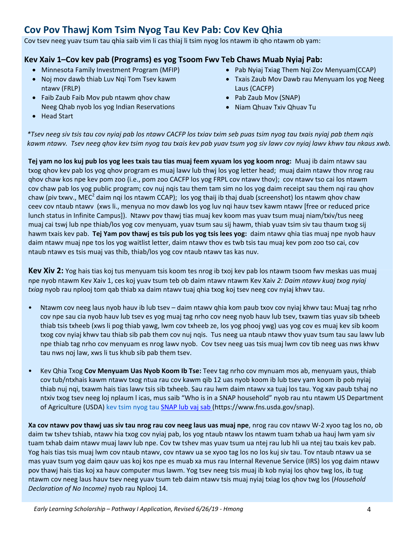# **Cov Pov Thawj Kom Tsim Nyog Tau Kev Pab: Cov Kev Qhia**

Cov tsev neeg yuav tsum tau qhia saib vim li cas thiaj li tsim nyog los ntawm ib qho ntawm ob yam:

### **Kev Xaiv 1–Cov kev pab (Programs) es yog Tsoom Fwv Teb Chaws Muab Nyiaj Pab:**

- Minnesota Family Investment Program (MFIP)
- Noj mov dawb thiab Luv Nqi Tom Tsev kawm ntawv (FRLP)
- Faib Zaub Faib Mov pub ntawm ghov chaw Neeg Qhab nyob los yog Indian Reservations
- Pab Nyiaj Txiag Them Nqi Zov Menyuam(CCAP)
- Txais Zaub Mov Dawb rau Menyuam los yog Neeg Laus (CACFP)
- Pab Zaub Mov (SNAP)
- Niam Qhuav Txiv Qhuav Tu

• Head Start

*\*Tsev neeg siv tsis tau cov nyiaj pab los ntawv CACFP los txiav txim seb puas tsim nyog tau txais nyiaj pab them nqis kawm ntawv. Tsev neeg qhov kev tsim nyog tau txais kev pab yuav tsum yog siv lawv cov nyiaj lawv khwv tau nkaus xwb.*

**Tej yam no los kuj pub los yog lees txais tau tias muaj feem xyuam los yog koom nrog:** Muaj ib daim ntawv sau txog qhov kev pab los yog qhov program es muaj lawv lub thwj los yog letter head; muaj daim ntawv thov nrog rau qhov chaw kos npe kev pom zoo (i.e., pom zoo CACFP los yog FRPL cov ntawv thov); cov ntawv tso cai los ntawm cov chaw pab los yog public program; cov nuj nqis tau them tam sim no los yog daim receipt sau them nqi rau qhov chaw (piv txwv., MEC<sup>2</sup> daim nqi los ntawm CCAP); los yog thaij ib thaj duab (screenshot) los ntawm qhov chaw ceev cov ntaub ntawv (xws li., menyua no mov dawb los yog luv nqi hauv tsev kawm ntawv [free or reduced price lunch status in Infinite Campus]). Ntawv pov thawj tias muaj kev koom mas yuav tsum muaj niam/txiv/tus neeg muaj cai tswj lub npe thiab/los yog cov menyuam, yuav tsum sau sij hawm, thiab yuav tsim siv tau thaum txog sij hawm txais kev pab. **Tej Yam pov thawj es tsis pub los yog tsis lees yog:** daim ntawv qhia tias muaj npe nyob hauv daim ntawv muaj npe tos los yog waitlist letter, daim ntawv thov es twb tsis tau muaj kev pom zoo tso cai, cov ntaub ntawv es tsis muaj vas thib, thiab/los yog cov ntaub ntawv tas kas nuv.

**Kev Xiv 2:** Yog hais tias koj tus menyuam tsis koom tes nrog ib txoj kev pab los ntawm tsoom fwv meskas uas muaj npe nyob ntawm Kev Xaiv 1, ces koj yuav tsum teb ob daim ntawv ntawm Kev Xaiv *2: Daim ntawv kuaj txog nyiaj txiag* nyob rau nplooj tom qab thiab xa daim ntawv tuaj qhia txog koj tsev neeg cov nyiaj khwv tau.

- Ntawm cov neeg laus nyob hauv ib lub tsev daim ntawv qhia kom paub txov cov nyiaj khwv tau**:** Muaj tag nrho cov npe sau cia nyob hauv lub tsev es yog muaj tag nrho cov neeg nyob hauv lub tsev, txawm tias yuav sib txheeb thiab tsis txheeb (xws li pog thiab yawg, lwm cov txheeb ze, los yog phooj ywg) uas yog cov es muaj kev sib koom txog cov nyiaj khwv tau thiab sib pab them cov nuj nqis. Tus neeg ua ntaub ntawv thov yuav tsum tau sau lawv lub npe thiab tag nrho cov menyuam es nrog lawv nyob. Cov tsev neeg uas tsis muaj lwm cov tib neeg uas nws khwv tau nws noj law, xws li tus khub sib pab them tsev.
- Kev Qhia Txog **Cov Menyuam Uas Nyob Koom Ib Tse:** Teev tag nrho cov mynuam mos ab, menyuam yaus, thiab cov tub/ntxhais kawm ntawv txog ntua rau cov kawm qib 12 uas nyob koom ib lub tsev yam koom ib pob nyiaj thiab nuj nqi, txawm hais tias lawv tsis sib txheeb. Sau rau lwm daim ntawv xa tuaj los tau. Yog xav paub tshaj no ntxiv txog tsev neeg loj nplaum l icas, mus saib "Who is in a SNAP household" nyob rau ntu ntawm US Department of Agriculture (USDA) kev tsim nyog tau [SNAP lub vaj sab \(](SNAP%20)https:/[/www.fns.usda.gov/snap\).](http://www.fns.usda.gov/snap))

**Xa cov ntawv pov thawj uas siv tau nrog rau cov neeg laus uas muaj npe**, nrog rau cov ntawv W-2 xyoo tag los no, ob daim tw tshev tshiab, ntawv hia txog cov nyiaj pab, los yog ntaub ntawv los ntawm tuam txhab ua hauj lwm yam siv tuam txhab daim ntawv muaj lawv lub npe. Cov tw tshev mas yuav tsum ua ntej rau lub hli ua ntej tau txais kev pab. Yog hais tias tsis muaj lwm cov ntaub ntawv, cov ntawv ua se xyoo tag los no los kuj siv tau. Tov ntaub ntawv ua se mas yuav tsum yog daim qauv uas koj kos npe es muab xa mus rau Internal Revenue Service (IRS) los yog daim ntawv pov thawj hais tias koj xa hauv computer mus lawm. Yog tsev neeg tsis muaj ib kob nyiaj los qhov twg los, ib tug ntawm cov neeg laus hauv tsev neeg yuav tsum teb daim ntawv tsis muaj nyiaj txiag los qhov twg los (*Household Declaration of No Income)* nyob rau Nplooj 14.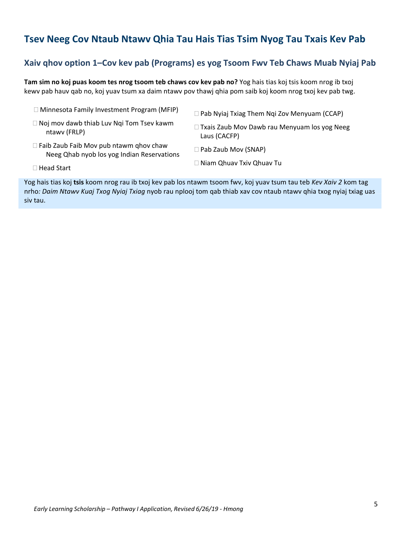### **Tsev Neeg Cov Ntaub Ntawv Qhia Tau Hais Tias Tsim Nyog Tau Txais Kev Pab**

### **Xaiv qhov option 1–Cov kev pab (Programs) es yog Tsoom Fwv Teb Chaws Muab Nyiaj Pab**

**Tam sim no koj puas koom tes nrog tsoom teb chaws cov kev pab no?** Yog hais tias koj tsis koom nrog ib txoj kewv pab hauv qab no, koj yuav tsum xa daim ntawv pov thawj qhia pom saib koj koom nrog txoj kev pab twg.

- □ Minnesota Family Investment Program (MFIP)
- □ Noj mov dawb thiab Luv Nqi Tom Tsev kawm ntawv (FRLP)
- $\Box$  Faib Zaub Faib Mov pub ntawm ghov chaw Neeg Qhab nyob los yog Indian Reservations
- □ Pab Nyiaj Txiag Them Nqi Zov Menyuam (CCAP)
- Txais Zaub Mov Dawb rau Menyuam los yog Neeg Laus (CACFP)
- □ Pab Zaub Mov (SNAP)
- □ Niam Qhuav Txiv Qhuav Tu

□ Head Start

Yog hais tias koj **tsis** koom nrog rau ib txoj kev pab los ntawm tsoom fwv, koj yuav tsum tau teb *Kev Xaiv 2* kom tag nrho*: Daim Ntawv Kuaj Txog Nyiaj Txiag* nyob rau nplooj tom qab thiab xav cov ntaub ntawv qhia txog nyiaj txiag uas siv tau.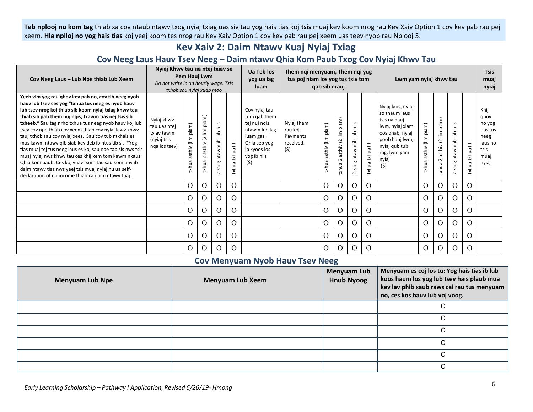**Teb nplooj no kom tag** thiab xa cov ntaub ntawv txog nyiaj txiag uas siv tau yog hais tias koj **tsis** muaj kev koom nrog rau Kev Xaiv Option 1 cov kev pab rau pej xeem. **Hla nplloj no yog hais tias** koj yeej koom tes nrog rau Kev Xaiv Option 1 cov kev pab rau pej xeem uas teev nyob rau Nplooj 5.

### **Kev Xaiv 2: Daim Ntawv Kuaj Nyiaj Txiag**

### **Cov Neeg Laus Hauv Tsev Neeg – Daim ntawv Qhia Kom Paub Txog Cov Nyiaj Khwv Tau**

| Cov Neeg Laus - Lub Npe thiab Lub Xeem                                                                                                                                                                                                                                                                                                                                                                                                                                                                                                                                                                                                                                                                                                                      | Nyiaj Khwy tau ua ntej txiav se<br>Pem Hauj Lwm<br>Do not write in an hourly wage. Tsis<br>txhob sau nyiaj xuab moo |                                    | Ua Teb los<br>yog ua lag<br>luam                                                                | Them nqi menyuam, Them nqi yug<br>tus poj niam los yog tus txiv tom<br>qab sib nrauj |                 |                                                                                                                                   |                                                       | Lwm yam nyiaj khwv tau        |                                                                        |                                     |                 | <b>Tsis</b><br>muaj<br>nyiaj                                                                                                                                |                                     |                                        |                                     |                     |                                                                                |
|-------------------------------------------------------------------------------------------------------------------------------------------------------------------------------------------------------------------------------------------------------------------------------------------------------------------------------------------------------------------------------------------------------------------------------------------------------------------------------------------------------------------------------------------------------------------------------------------------------------------------------------------------------------------------------------------------------------------------------------------------------------|---------------------------------------------------------------------------------------------------------------------|------------------------------------|-------------------------------------------------------------------------------------------------|--------------------------------------------------------------------------------------|-----------------|-----------------------------------------------------------------------------------------------------------------------------------|-------------------------------------------------------|-------------------------------|------------------------------------------------------------------------|-------------------------------------|-----------------|-------------------------------------------------------------------------------------------------------------------------------------------------------------|-------------------------------------|----------------------------------------|-------------------------------------|---------------------|--------------------------------------------------------------------------------|
| Yeeb vim yog rau ghov kev pab no, cov tib neeg nyob<br>hauv lub tsev ces yog "txhua tus neeg es nyob hauv<br>lub tsev nrog koj thiab sib koom nyiaj txiag khwv tau<br>thiab sib pab them nuj ngis, txawm tias nej tsis sib<br>txheeb." Sau tag nrho txhua tus neeg nyob hauv koj lub<br>tsev cov npe thiab cov xeem thiab cov nyiaj lawy khwy<br>tau, txhob sau cov nyiaj xees. Sau cov tub ntxhais es<br>mus kawm ntawv qib siab kev deb ib ntus tib si. *Yog<br>tias muaj tej tus neeg laus es koj sau npe tab sis nws tsis<br>muaj nyiaj nws khwy tau ces khij kem tom kawm nkaus.<br>Qhia kom paub: Ces koj yuav tsum tau sau kom tiav ib<br>daim ntawy tias nws yeej tsis muaj nyiaj hu ua self-<br>declaration of no income thiab xa daim ntawy tuai. | Nyiaj khwy<br>tau uas ntej<br>txiav tawm<br>(nyiaj tsis<br>nga los tsev)                                            | piam)<br>$\lim$<br>asthiv<br>txhua | piam)<br>$\underline{\underline{\epsilon}}$<br>$\overline{\omega}$<br>asthiv<br>$\sim$<br>txhua | zaug ntawm ib lub hlis<br>$\sim$                                                     | Ixhua txhua hli | Cov nyiaj tau<br>tom gab them<br>tej nuj ngis<br>ntawm lub lag<br>luam gas.<br>Qhia seb yog<br>ib xyoos los<br>yog ib hlis<br>(5) | Nyiaj them<br>rau koj<br>Payments<br>received.<br>(5) | piam)<br>asthiv (lim<br>surk: | piam)<br>$\mathbf{lim}$<br>$\overline{c}$<br>asthiv<br>$\sim$<br>txhui | hlis<br>dul di mwnta gusz<br>$\sim$ | Txhua txhua hli | Nyiai laus, nyiai<br>so thaum laus<br>tsis ua hauj<br>lwm, nyiaj xiam<br>oos qhab, nyiaj<br>poob hauj lwm,<br>nyiaj qub tub<br>rog, lwm yam<br>nyiaj<br>(5) | piam)<br>$(\lim$<br>asthiv<br>txhua | asthiv (2 lim piam)<br>$\sim$<br>txhua | ntawm ib lub hlis<br>zaug<br>$\sim$ | Ξ<br>txhua<br>Txhua | Khij<br>ghov<br>no yog<br>tias tus<br>neeg<br>laus no<br>tsis<br>muaj<br>nyiaj |
|                                                                                                                                                                                                                                                                                                                                                                                                                                                                                                                                                                                                                                                                                                                                                             |                                                                                                                     | $\Omega$                           | $\Omega$                                                                                        | $\Omega$                                                                             | $\Omega$        |                                                                                                                                   |                                                       | $\Omega$                      | $\Omega$                                                               | $\Omega$                            | $\Omega$        |                                                                                                                                                             | $\Omega$                            | $\Omega$                               | $\Omega$                            | $\Omega$            |                                                                                |
|                                                                                                                                                                                                                                                                                                                                                                                                                                                                                                                                                                                                                                                                                                                                                             |                                                                                                                     | $\Omega$                           | $\lambda$                                                                                       | $\Omega$                                                                             | $\Omega$        |                                                                                                                                   |                                                       | $\Omega$                      | O                                                                      | O.                                  | $\Omega$        |                                                                                                                                                             | $\Omega$                            | $\Omega$                               | $\Omega$                            | $\Omega$            |                                                                                |
|                                                                                                                                                                                                                                                                                                                                                                                                                                                                                                                                                                                                                                                                                                                                                             |                                                                                                                     | $\Omega$                           | $\Omega$                                                                                        | $\Omega$                                                                             | $\Omega$        |                                                                                                                                   |                                                       | $\Omega$                      | $\Omega$                                                               | $\Omega$                            | $\Omega$        |                                                                                                                                                             | $\Omega$                            | $\Omega$                               | $\Omega$                            | $\Omega$            |                                                                                |
|                                                                                                                                                                                                                                                                                                                                                                                                                                                                                                                                                                                                                                                                                                                                                             |                                                                                                                     | $\Omega$                           | $\lambda$                                                                                       | $\Omega$                                                                             | $\Omega$        |                                                                                                                                   |                                                       | $\Omega$                      | O                                                                      | $\Omega$                            | $\Omega$        |                                                                                                                                                             | $\Omega$                            | $\Omega$                               | $\Omega$                            | $\Omega$            |                                                                                |
|                                                                                                                                                                                                                                                                                                                                                                                                                                                                                                                                                                                                                                                                                                                                                             |                                                                                                                     | $\Omega$                           | 0                                                                                               | $\Omega$                                                                             | O               |                                                                                                                                   |                                                       | $\Omega$                      | O                                                                      | O.                                  | $\Omega$        |                                                                                                                                                             | $\Omega$                            | $\Omega$                               | $\Omega$                            | $\Omega$            |                                                                                |
|                                                                                                                                                                                                                                                                                                                                                                                                                                                                                                                                                                                                                                                                                                                                                             |                                                                                                                     | $\Omega$                           | 0                                                                                               | $\Omega$                                                                             | O               |                                                                                                                                   |                                                       | $\Omega$                      | Ω                                                                      | O.                                  | $\Omega$        |                                                                                                                                                             | $\Omega$                            | O                                      | $\Omega$                            | $\Omega$            |                                                                                |

### **Cov Menyuam Nyob Hauv Tsev Neeg**

| <b>Menyuam Lub Npe</b> | <b>Menyuam Lub Xeem</b> | <b>Menyuam Lub</b><br><b>Hnub Nyoog</b> | Menyuam es coj los tu: Yog hais tias ib lub<br>koos haum los yog lub tsev hais plaub mua<br>kev lav phib xaub raws cai rau tus menyuam<br>no, ces kos hauv lub voj voog. |
|------------------------|-------------------------|-----------------------------------------|--------------------------------------------------------------------------------------------------------------------------------------------------------------------------|
|                        |                         |                                         |                                                                                                                                                                          |
|                        |                         |                                         |                                                                                                                                                                          |
|                        |                         |                                         |                                                                                                                                                                          |
|                        |                         |                                         |                                                                                                                                                                          |
|                        |                         |                                         |                                                                                                                                                                          |
|                        |                         |                                         |                                                                                                                                                                          |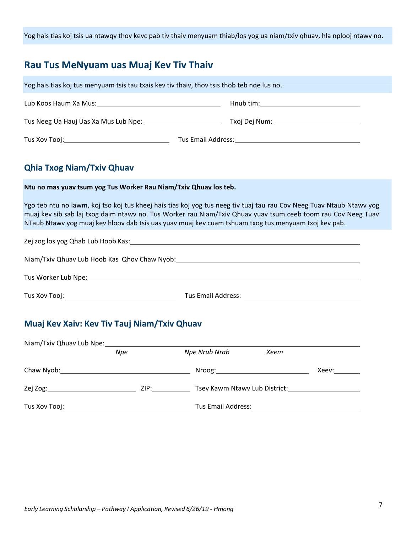Yog hais tias koj tsis ua ntawqv thov kevc pab tiv thaiv menyuam thiab/los yog ua niam/txiv qhuav, hla nplooj ntawv no.

# **Rau Tus MeNyuam uas Muaj Kev Tiv Thaiv**

| Yog hais tias koj tus menyuam tsis tau txais kev tiv thaiv, thov tsis thob teb nqe lus no.                                                                                                                                                                                                                                                    |               |      |                            |  |  |  |
|-----------------------------------------------------------------------------------------------------------------------------------------------------------------------------------------------------------------------------------------------------------------------------------------------------------------------------------------------|---------------|------|----------------------------|--|--|--|
|                                                                                                                                                                                                                                                                                                                                               |               |      |                            |  |  |  |
|                                                                                                                                                                                                                                                                                                                                               |               |      |                            |  |  |  |
|                                                                                                                                                                                                                                                                                                                                               |               |      |                            |  |  |  |
| <b>Qhia Txog Niam/Txiv Qhuav</b>                                                                                                                                                                                                                                                                                                              |               |      |                            |  |  |  |
| Ntu no mas yuav tsum yog Tus Worker Rau Niam/Txiv Qhuav los teb.                                                                                                                                                                                                                                                                              |               |      |                            |  |  |  |
| Ygo teb ntu no lawm, koj tso koj tus kheej hais tias koj yog tus neeg tiv tuaj tau rau Cov Neeg Tuav Ntaub Ntawv yog<br>muaj kev sib sab laj txog daim ntawv no. Tus Worker rau Niam/Txiv Qhuav yuav tsum ceeb toom rau Cov Neeg Tuav<br>NTaub Ntawv yog muaj kev hloov dab tsis uas yuav muaj kev cuam tshuam txog tus menyuam txoj kev pab. |               |      |                            |  |  |  |
|                                                                                                                                                                                                                                                                                                                                               |               |      |                            |  |  |  |
| Niam/Txiv Qhuav Lub Hoob Kas Qhov Chaw Nyob: Manual Changer Changer Changer Changer Changer Changer Changer Ch                                                                                                                                                                                                                                |               |      |                            |  |  |  |
|                                                                                                                                                                                                                                                                                                                                               |               |      |                            |  |  |  |
|                                                                                                                                                                                                                                                                                                                                               |               |      |                            |  |  |  |
| Muaj Kev Xaiv: Kev Tiv Tauj Niam/Txiv Qhuav                                                                                                                                                                                                                                                                                                   |               |      |                            |  |  |  |
| Niam/Txiv Qhuav Lub Npe: Miam/Txiv Qhuav Lub Npe:<br>Npe                                                                                                                                                                                                                                                                                      | Npe Nrub Nrab | Xeem |                            |  |  |  |
|                                                                                                                                                                                                                                                                                                                                               |               |      | Xeev: $\rule{1em}{0.15mm}$ |  |  |  |
|                                                                                                                                                                                                                                                                                                                                               |               |      |                            |  |  |  |

Tus Xov Tooj: 1988) Tus Email Address: 1988 Tus Email Address: 1988 Tus Email Address: 1988 Tus Email Address:

*Early Learning Scholarship – Pathway I Application, Revised 6/26/19 - Hmong* <sup>7</sup>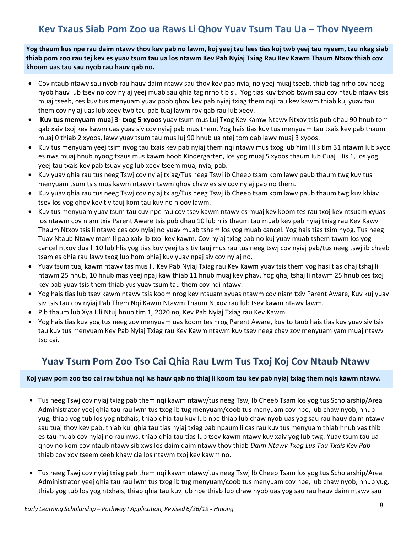# **Kev Txaus Siab Pom Zoo ua Raws Li Qhov Yuav Tsum Tau Ua – Thov Nyeem**

**Yog thaum kos npe rau daim ntawv thov kev pab no lawm, koj yeej tau lees tias koj twb yeej tau nyeem, tau nkag siab thiab pom zoo rau tej kev es yuav tsum tau ua los ntawm Kev Pab Nyiaj Txiag Rau Kev Kawm Thaum Ntxov thiab cov khoom uas tau sau nyob rau hauv qab no.** 

- Cov ntaub ntawv sau nyob rau hauv daim ntawv sau thov kev pab nyiaj no yeej muaj tseeb, thiab tag nrho cov neeg nyob hauv lub tsev no cov nyiaj yeej muab sau qhia tag nrho tib si. Yog tias kuv txhob txwm sau cov ntaub ntawv tsis muaj tseeb, ces kuv tus menyuam yuav poob qhov kev pab nyiaj txiag them nqi rau kev kawm thiab kuj yuav tau them cov nyiaj uas lub xeev twb tau pab tuaj lawm rov qab rau lub xeev.
- **Kuv tus menyuam muaj 3- txog 5-xyoos** yuav tsum mus Luj Txog Kev Kamw Ntawv Ntxov tsis pub dhau 90 hnub tom qab xaiv txoj kev kawm uas yuav siv cov nyiaj pab mus them. Yog hais tias kuv tus menyuam tau txais kev pab thaum muaj 0 thiab 2 xyoos, lawv yuav tsum tau mus luj 90 hnub ua ntej tom qab lawv muaj 3 xyoos.
- Kuv tus menyuam yeej tsim nyog tau txais kev pab nyiaj them nqi ntawv mus txog lub Yim Hlis tim 31 ntawm lub xyoo es nws muaj hnub nyoog txaus mus kawm hoob Kindergarten, los yog muaj 5 xyoos thaum lub Cuaj Hlis 1, los yog yeej tau txais kev pab tsuav yog lub xeev tseem muaj nyiaj pab.
- Kuv yuav ghia rau tus neeg Tswj cov nyiaj txiag/Tus neeg Tswj ib Cheeb tsam kom lawv paub thaum twg kuv tus menyuam tsum tsis mus kawm ntawv ntawm qhov chaw es siv cov nyiaj pab no them.
- Kuv yuav ghia rau tus neeg Tswj cov nyiaj txiag/Tus neeg Tswj ib Cheeb tsam kom lawv paub thaum twg kuv khiav tsev los yog qhov kev tiv tauj kom tau kuv no hloov lawm.
- Kuv tus menyuam yuav tsum tau cuv npe rau cov tsev kawm ntawy es muaj kev koom tes rau txoj kev ntsuam xyuas los ntawm cov niam txiv Parent Aware tsis pub dhau 10 lub hlis thaum tau muab kev pab nyiaj txiag rau Kev Kawv Thaum Ntxov tsis li ntawd ces cov nyiaj no yuav muab tshem los yog muab cancel. Yog hais tias tsim nyog, Tus neeg Tuav Ntaub Ntawv mam li pab xaiv ib txoj kev kawm. Cov nyiaj txiag pab no kuj yuav muab tshem tawm los yog cancel ntxov dua li 10 lub hlis yog tias kuv yeej tsis tiv tauj mus rau tus neeg tswj cov nyiaj pab/tus neeg tswj ib cheeb tsam es qhia rau lawv txog lub hom phiaj kuv yuav npaj siv cov nyiaj no.
- Yuav tsum tuaj kawm ntawv tas mus li. Kev Pab Nyiaj Txiag rau Kev Kawm yuav tsis them yog hasi tias qhaj tshaj li ntawm 25 hnub, 10 hnub mas yeej npaj kaw thiab 11 hnub muaj kev phav. Yog qhaj tshaj li ntawm 25 hnub ces txoj kev pab yuav tsis them thiab yus yuav tsum tau them cov nqi ntawv.
- Yog hais tias lub tsev kawm ntawv tsis koom nrog kev ntsuam xyuas ntawm cov niam txiv Parent Aware, Kuv kuj yuav siv tsis tau cov nyiaj Pab Them Nqi Kawm Ntawm Thaum Ntxov rau lub tsev kawm ntawv lawm.
- Pib thaum lub Xya Hli Ntuj hnub tim 1, 2020 no, Kev Pab Nyiaj Txiag rau Kev Kawm
- Yog hais tias kuv yog tus neeg zov menyuam uas koom tes nrog Parent Aware, kuv to taub hais tias kuv yuav siv tsis tau kuv tus menyuam Kev Pab Nyiaj Txiag rau Kev Kawm ntawm kuv tsev neeg chav zov menyuam yam muaj ntawv tso cai.

### **Yuav Tsum Pom Zoo Tso Cai Qhia Rau Lwm Tus Txoj Koj Cov Ntaub Ntawv**

#### **Koj yuav pom zoo tso cai rau txhua nqi lus hauv qab no thiaj li koom tau kev pab nyiaj txiag them nqis kawm ntawv.**

- Tus neeg Tswj cov nyiaj txiag pab them nqi kawm ntawv/tus neeg Tswj Ib Cheeb Tsam los yog tus Scholarship/Area Administrator yeej qhia tau rau lwm tus txog ib tug menyuam/coob tus menyuam cov npe, lub chaw nyob, hnub yug, thiab yog tub los yog ntxhais, thiab qhia tau kuv lub npe thiab lub chaw nyob uas yog sau rau hauv daim ntawv sau tuaj thov kev pab, thiab kuj qhia tau tias nyiaj txiag pab npaum li cas rau kuv tus menyuam thiab hnub vas thib es tau muab cov nyiaj no rau nws, thiab qhia tau tias lub tsev kawm ntawv kuv xaiv yog lub twg. Yuav tsum tau ua qhov no kom cov ntaub ntawv sib xws los daim daim ntawv thov thiab *Daim Ntawv Txog Lus Tau Txais Kev Pab*  thiab cov xov tseem ceeb khaw cia los ntawm txoj kev kawm no.
- Tus neeg Tswj cov nyiaj txiag pab them nqi kawm ntawv/tus neeg Tswj Ib Cheeb Tsam los yog tus Scholarship/Area Administrator yeej qhia tau rau lwm tus txog ib tug menyuam/coob tus menyuam cov npe, lub chaw nyob, hnub yug, thiab yog tub los yog ntxhais, thiab qhia tau kuv lub npe thiab lub chaw nyob uas yog sau rau hauv daim ntawv sau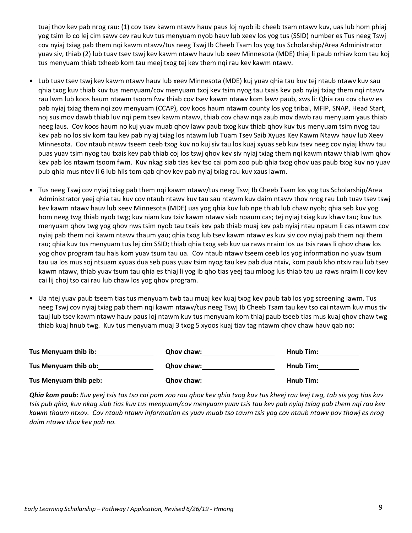tuaj thov kev pab nrog rau: (1) cov tsev kawm ntawv hauv paus loj nyob ib cheeb tsam ntawv kuv, uas lub hom phiaj yog tsim ib co lej cim sawv cev rau kuv tus menyuam nyob hauv lub xeev los yog tus (SSID) number es Tus neeg Tswj cov nyiaj txiag pab them nqi kawm ntawv/tus neeg Tswj Ib Cheeb Tsam los yog tus Scholarship/Area Administrator yuav siv, thiab (2) lub tuav tsev tswj kev kawm ntawv hauv lub xeev Minnesota (MDE) thiaj li paub nrhiav kom tau koj tus menyuam thiab txheeb kom tau meej txog tej kev them nqi rau kev kawm ntawv.

- Lub tuav tsev tswj kev kawm ntawv hauv lub xeev Minnesota (MDE) kuj yuav qhia tau kuv tej ntaub ntawv kuv sau qhia txog kuv thiab kuv tus menyuam/cov menyuam txoj kev tsim nyog tau txais kev pab nyiaj txiag them nqi ntawv rau lwm lub koos haum ntawm tsoom fwv thiab cov tsev kawm ntawv kom lawv paub, xws li: Qhia rau cov chaw es pab nyiaj txiag them nqi zov menyuam (CCAP), cov koos haum ntawm county los yog tribal, MFIP, SNAP, Head Start, noj sus mov dawb thiab luv nqi pem tsev kawm ntawv, thiab cov chaw nqa zaub mov dawb rau menyuam yaus thiab neeg laus. Cov koos haum no kuj yuav muab qhov lawv paub txog kuv thiab qhov kuv tus menyuam tsim nyog tau kev pab no los siv kom tau kev pab nyiaj txiag los ntawm lub Tuam Tsev Saib Xyuas Kev Kawm Ntawv hauv lub Xeev Minnesota. Cov ntaub ntawv tseem ceeb txog kuv no kuj siv tau los kuaj xyuas seb kuv tsev neeg cov nyiaj khwv tau puas yuav tsim nyog tau txais kev pab thiab coj los tswj qhov kev siv nyiaj txiag them nqi kawm ntawv thiab lwm qhov kev pab los ntawm tsoom fwm. Kuv nkag siab tias kev tso cai pom zoo pub qhia txog qhov uas paub txog kuv no yuav pub qhia mus ntev li 6 lub hlis tom qab qhov kev pab nyiaj txiag rau kuv xaus lawm.
- Tus neeg Tswj cov nyiaj txiag pab them nqi kawm ntawv/tus neeg Tswj Ib Cheeb Tsam los yog tus Scholarship/Area Administrator yeej qhia tau kuv cov ntaub ntawv kuv tau sau ntawm kuv daim ntawv thov nrog rau Lub tuav tsev tswj kev kawm ntawv hauv lub xeev Minnesota (MDE) uas yog qhia kuv lub npe thiab lub chaw nyob; qhia seb kuv yog hom neeg twg thiab nyob twg; kuv niam kuv txiv kawm ntawv siab npaum cas; tej nyiaj txiag kuv khwv tau; kuv tus menyuam qhov twg yog qhov nws tsim nyob tau txais kev pab thiab muaj kev pab nyiaj ntau npaum li cas ntawm cov nyiaj pab them nqi kawm ntawv thaum yau; qhia txog lub tsev kawm ntawv es kuv siv cov nyiaj pab them nqi them rau; qhia kuv tus menyuam tus lej cim SSID; thiab qhia txog seb kuv ua raws nraim los ua tsis raws li qhov chaw los yog qhov program tau hais kom yuav tsum tau ua. Cov ntaub ntawv tseem ceeb los yog information no yuav tsum tau ua los mus soj ntsuam xyuas dua seb puas yuav tsim nyog tau kev pab dua ntxiv, kom paub kho ntxiv rau lub tsev kawm ntawv, thiab yuav tsum tau qhia es thiaj li yog ib qho tias yeej tau mloog lus thiab tau ua raws nraim li cov kev cai lij choj tso cai rau lub chaw los yog qhov program.
- Ua ntej yuav paub tseem tias tus menyuam twb tau muaj kev kuaj txog kev paub tab los yog screening lawm, Tus neeg Tswj cov nyiaj txiag pab them nqi kawm ntawv/tus neeg Tswj Ib Cheeb Tsam tau kev tso cai ntawm kuv mus tiv tauj lub tsev kawm ntawv hauv paus loj ntawm kuv tus menyuam kom thiaj paub tseeb tias mus kuaj qhov chaw twg thiab kuaj hnub twg. Kuv tus menyuam muaj 3 txog 5 xyoos kuaj tiav tag ntawm qhov chaw hauv qab no:

| Tus Menyuam thib ib:  | <b>Qhov chaw:</b> | Hnub Tim: |
|-----------------------|-------------------|-----------|
| Tus Menyuam thib ob:  | <b>Qhov chaw:</b> | Hnub Tim: |
| Tus Menyuam thib peb: | <b>Qhov chaw:</b> | Hnub Tim: |

*Qhia kom paub: Kuv yeej tsis tas tso cai pom zoo rau qhov kev qhia txog kuv tus kheej rau leej twg, tab sis yog tias kuv tsis pub qhia, kuv nkag siab tias kuv tus menyuam/cov menyuam yuav tsis tau kev pab nyiaj txiag pab them nqi rau kev kawm thaum ntxov. Cov ntaub ntawv information es yuav muab tso tawm tsis yog cov ntaub ntawv pov thawj es nrog daim ntawv thov kev pab no.*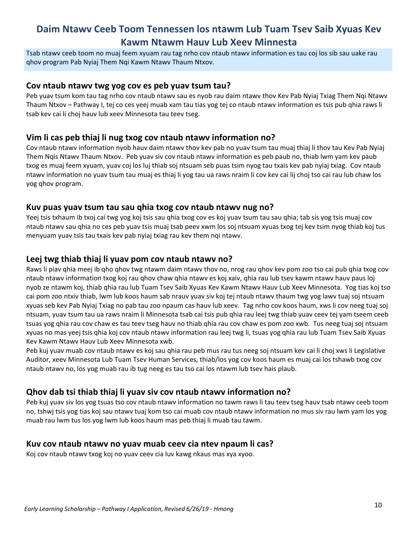## **Daim Ntawv Ceeb Toom Tennessen los ntawm Lub Tuam Tsev Saib Xyuas Kev Kawm Ntawm Hauv Lub Xeev Minnesta**

Tsab ntawv ceeb toom no muaj feem xyuam rau tag nrho cov ntaub ntawv information es tau coj los sib sau uake rau qhov program Pab Nyiaj Them Nqi Kawm Ntawv Thaum Ntxov.

#### **Cov ntaub ntawv twg yog cov es peb yuav tsum tau?**

Peb yuav tsum kom tau tag nrho cov ntaub ntawv sau es nyob rau daim ntawv thov Kev Pab Nyiaj Txiag Them Nqi Ntawv Thaum Ntxov – Pathway I, tej co ces yeej muab xam tau tias yog tej co ntaub ntawv information es tsis pub qhia raws li tsab kev cai li choj hauv lub xeev Minnesota tau teev tseg.

### **Vim li cas peb thiaj li nug txog cov ntaub ntawv information no?**

Cov ntaub ntawv information nyob hauv daim ntawv thov kev pab no yuav tsum tau muaj thiaj li thov tau Kev Pab Nyiaj Them Nqis Ntawv Thaum Ntxov. Peb yuav siv cov ntaub ntawv information es peb paub no, thiab lwm yam kev paub txog es muaj feem xyuam, yuav coj los luj thiab soj ntsuam seb puas tsim nyog tau txais kev pab nyiaj txiag. Cov ntaub ntawv information no yuav tsum tau muaj es thiaj li yog tau ua raws nraim li cov kev cai lij choj tso cai rau lub chaw los yog qhov program.

#### **Kuv puas yuav tsum tau sau qhia txog cov ntaub ntawv nug no?**

Yeej tsis txhaum ib txoj cai twg yog koj tsis sau qhia txog cov es koj yuav tsum tau sau qhia; tab sis yog tsis muaj cov ntaub ntawv sau qhia no ces peb yuav tsis muaj tsab peev xwm los soj ntsuam xyuas txog tej kev tsim nyog thiab koj tus menyuam yuav tsis tau txais kev pab nyiaj txiag rau kev them nqi ntawv.

### **Leej twg thiab thiaj li yuav pom cov ntaub ntawv no?**

Raws li piav qhia meej ib qho qhov twg ntawm daim ntawv thov no, nrog rau qhov kev pom zoo tso cai pub qhia txog cov ntaub ntawv information txog koj rau qhov chaw qhia ntawv es koj xaiv, qhia rau lub tsev kawm ntawv hauv paus loj nyob ze ntawm koj, thiab qhia rau lub Tuam Tsev Saib Xyuas Kev Kawm Ntawv Hauv Lub Xeev Minnesota. Yog tias koj tso cai pom zoo ntxiv thiab, lwm lub koos haum sab nrauv yuav siv koj tej ntaub ntawv thaum twg yog lawv tuaj soj ntsuam xyuas seb kev Pab Nyiaj Txiag no pab tau zoo npaum cas hauv lub xeev. Tag nrho cov koos haum, xws li cov neeg tuaj soj ntsuam, yuav tsum tau ua raws nraim li Minnesota tsab cai tsis pub qhia rau leej twg thiab yuav ceev tej yam tseem ceeb tsuas yog qhia rau cov chaw es tau teev tseg hauv no thiab qhia rau cov chaw es pom zoo xwb. Tus neeg tuaj soj ntsuam xyuas no mas yeej tsis qhia koj cov ntaub ntawv information rau leej twg li, tsuas yog qhia rau lub Tuam Tsev Saib Xyuas Kev Kawm Ntawv Hauv Lub Xeev Minnesota xwb.

Peb kuj yuav muab cov ntaub ntawv es koj sau qhia rau peb mus rau tus neeg soj ntsuam kev cai li choj xws li Legislative Auditor, xeev Minnesota Lub Tuam Tsev Human Services, thiab/los yog cov koos haum es muaj cai los tshawb txog cov ntaub ntawv no, los yog muab rau ib tug neeg es tau tso cai los ntawm lub tsev hais plaub.

### **Qhov dab tsi thiab thiaj li yuav siv cov ntaub ntawv information no?**

Peb kuj yuav siv los yog tsuas tso cov ntaub ntawv information no tawm raws li tau teev tseg hauv tsab ntawv ceeb toom no, tshwj tsis yog tias koj sau ntawv tuaj kom tso cai muab cov ntaub ntawv information no mus siv rau lwm yam los yog muab rau lwm tus los yog lwm lub koos haum mas peb thiaj li muab tau tawm.

### **Kuv cov ntaub ntawv no yuav muab ceev cia ntev npaum li cas?**

Koj cov ntaub ntawv txog koj no yuav ceev cia luv kawg nkaus mas xya xyoo.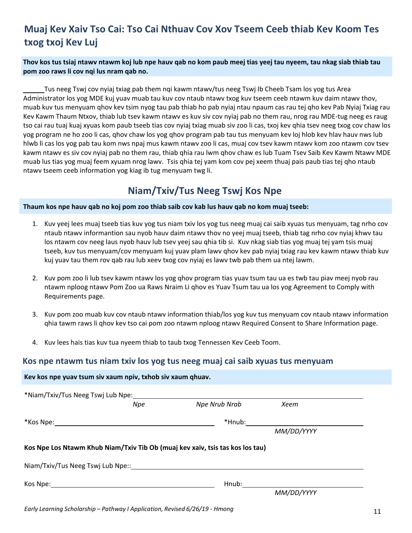# **Muaj Kev Xaiv Tso Cai: Tso Cai Nthuav Cov Xov Tseem Ceeb thiab Kev Koom Tes txog txoj Kev Luj**

**Thov kos tus tsiaj ntawv ntawm koj lub npe hauv qab no kom paub meej tias yeej tau nyeem, tau nkag siab thiab tau pom zoo raws li cov nqi lus nram qab no.**

 Tus neeg Tswj cov nyiaj txiag pab them nqi kawm ntawv/tus neeg Tswj Ib Cheeb Tsam los yog tus Area Administrator los yog MDE kuj yuav muab tau kuv cov ntaub ntawv txog kuv tseem ceeb ntawm kuv daim ntawv thov, muab kuv tus menyuam qhov kev tsim nyog tau pab thiab ho pab nyiaj ntau npaum cas rau tej qho kev Pab Nyiaj Txiag rau Kev Kawm Thaum Ntxov, thiab lub tsev kawm ntawv es kuv siv cov nyiaj pab no them rau, nrog rau MDE-tug neeg es raug tso cai rau tuaj kuaj xyuas kom paub tseeb tias cov nyiaj txiag muab siv zoo li cas, txoj kev qhia tsev neeg txog cov chaw los yog program ne ho zoo li cas, qhov chaw los yog qhov program pab tau tus menyuam kev loj hlob kev hlav hauv nws lub hlwb li cas los yog pab tau kom nws npaj mus kawm ntawv zoo li cas, muaj cov tsev kawm ntawv kom zoo ntawm cov tsev kawm ntawv es siv cov nyiaj pab no them rau, thiab qhia rau lwm qhov chaw es lub Tuam Tsev Saib Kev Kawm Ntawv MDE muab lus tias yog muaj feem xyuam nrog lawv. Tsis qhia tej yam kom cov pej xeem thuaj pais paub tias tej qho ntaub ntawv tseem ceeb information yog kiag ib tug menyuam twg li.

### **Niam/Txiv/Tus Neeg Tswj Kos Npe**

#### **Thaum kos npe hauv qab no koj pom zoo thiab saib cov kab lus hauv qab no kom muaj tseeb:**

- 1. Kuv yeej lees muaj tseeb tias kuv yog tus niam txiv los yog tus neeg muaj cai saib xyuas tus menyuam, tag nrho cov ntaub ntawv informantion sau nyob hauv daim ntawv thov no yeej muaj tseeb, thiab tag nrho cov nyiaj khwv tau los ntawm cov neeg laus nyob hauv lub tsev yeej sau qhia tib si. Kuv nkag siab tias yog muaj tej yam tsis muaj tseeb, kuv tus menyuam/cov menyuam kuj yuav plam lawv qhov kev pab nyiaj txiag rau kev kawm ntawv thiab kuv kuj yuav tau them rov qab rau lub xeev txog cov nyiaj es lawv twb pab them ua ntej lawm.
- 2. Kuv pom zoo li lub tsev kawm ntawv los yog qhov program tias yuav tsum tau ua es twb tau piav meej nyob rau ntawm nploog ntawv Pom Zoo ua Raws Nraim Li qhov es Yuav Tsum tau ua los yog Agreement to Comply with Requirements page.
- 3. Kuv pom zoo muab kuv cov ntaub ntawv information thiab/los yog kuv tus menyuam cov ntaub ntawv information qhia tawm raws li qhov kev tso cai pom zoo ntawm nploog ntawv Required Consent to Share Information page.
- 4. Kuv lees hais tias kuv tua nyeem thiab to taub txog Tennessen Kev Ceeb Toom.

### **Kos npe ntawm tus niam txiv los yog tus neeg muaj cai saib xyuas tus menyuam**

| Kev kos npe yuav tsum siv xaum npiv, txhob siv xaum qhuav.                                                    |     |                                                                               |                                  |  |
|---------------------------------------------------------------------------------------------------------------|-----|-------------------------------------------------------------------------------|----------------------------------|--|
|                                                                                                               |     |                                                                               |                                  |  |
|                                                                                                               | Npe | Npe Nrub Nrab                                                                 | Xeem                             |  |
| *Kos Npe: 1999 - 1999 - 1999 - 1999 - 1999 - 1999 - 1999 - 1999 - 1999 - 1999 - 1999 - 1999 - 1999 - 1999 - 1 |     |                                                                               | *Hnub:__________________________ |  |
|                                                                                                               |     |                                                                               | MM/DD/YYYY                       |  |
|                                                                                                               |     | Kos Npe Los Ntawm Khub Niam/Txiv Tib Ob (muaj kev xaiv, tsis tas kos los tau) |                                  |  |
|                                                                                                               |     |                                                                               |                                  |  |
|                                                                                                               |     |                                                                               |                                  |  |
|                                                                                                               |     |                                                                               | MM/DD/YYYY                       |  |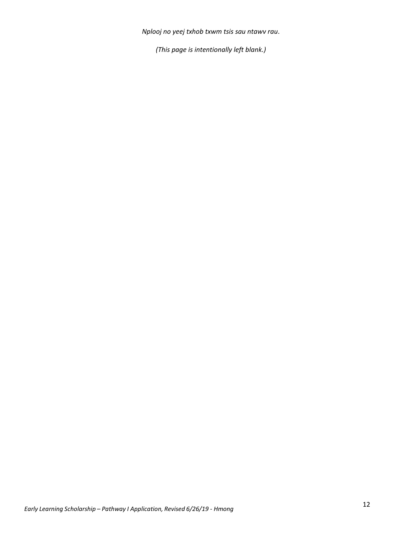*Nplooj no yeej txhob txwm tsis sau ntawv rau*.

*(This page is intentionally left blank.)*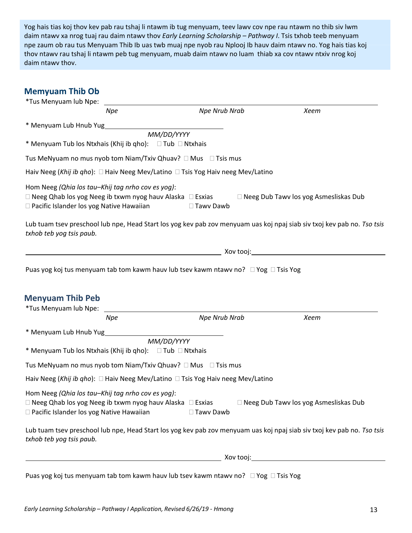Yog hais tias koj thov kev pab rau tshaj li ntawm ib tug menyuam, teev lawv cov npe rau ntawm no thib siv lwm daim ntawv xa nrog tuaj rau daim ntawv thov *Early Learning Scholarship – Pathway I*. Tsis txhob teeb menyuam npe zaum ob rau tus Menyuam Thib Ib uas twb muaj npe nyob rau Nplooj Ib hauv daim ntawv no. Yog hais tias koj thov ntawv rau tshaj li ntawm peb tug menyuam, muab daim ntawv no luam thiab xa cov ntawv ntxiv nrog koj daim ntawv thov.

### **Memyuam Thib Ob**

|                                                                                                 | <b>Npe</b> | Npe Nrub Nrab                                                                       | Xeem                                                                                                                                                                                                                           |
|-------------------------------------------------------------------------------------------------|------------|-------------------------------------------------------------------------------------|--------------------------------------------------------------------------------------------------------------------------------------------------------------------------------------------------------------------------------|
|                                                                                                 |            |                                                                                     |                                                                                                                                                                                                                                |
|                                                                                                 |            |                                                                                     |                                                                                                                                                                                                                                |
|                                                                                                 |            |                                                                                     |                                                                                                                                                                                                                                |
|                                                                                                 |            | Tus MeNyuam no mus nyob tom Niam/Txiv Qhuav? □ Mus □ Tsis mus                       |                                                                                                                                                                                                                                |
|                                                                                                 |            | Haiv Neeg (Khij ib gho): □ Haiv Neeg Mev/Latino □ Tsis Yog Haiv neeg Mev/Latino     |                                                                                                                                                                                                                                |
| Hom Neeg (Qhia los tau-Khij tag nrho cov es yog):<br>□ Pacific Islander los yog Native Hawaiian |            | □ Tawy Dawb                                                                         | $\Box$ Neeg Qhab los yog Neeg ib txwm nyog hauv Alaska $\Box$ Esxias $\Box$ Neeg Dub Tawv los yog Asmesliskas Dub                                                                                                              |
| txhob teb yog tsis paub.                                                                        |            |                                                                                     | Lub tuam tsev preschool lub npe, Head Start los yog kev pab zov menyuam uas koj npaj siab siv txoj kev pab no. Tso tsis                                                                                                        |
|                                                                                                 |            |                                                                                     | and the contract of the contract of the contract of the contract of the contract of the contract of the contract of the contract of the contract of the contract of the contract of the contract of the contract of the contra |
|                                                                                                 |            |                                                                                     |                                                                                                                                                                                                                                |
|                                                                                                 |            | Puas yog koj tus menyuam tab tom kawm hauv lub tsev kawm ntawv no? □ Yog □ Tsis Yog |                                                                                                                                                                                                                                |
|                                                                                                 |            |                                                                                     |                                                                                                                                                                                                                                |
|                                                                                                 |            |                                                                                     |                                                                                                                                                                                                                                |
|                                                                                                 |            |                                                                                     |                                                                                                                                                                                                                                |
| <b>Menyuam Thib Peb</b>                                                                         |            |                                                                                     |                                                                                                                                                                                                                                |
|                                                                                                 |            |                                                                                     |                                                                                                                                                                                                                                |
|                                                                                                 | <b>Npe</b> | <b>Npe Nrub Nrab</b>                                                                | Xeem                                                                                                                                                                                                                           |
| * Menyuam Lub Hnub Yug                                                                          |            |                                                                                     |                                                                                                                                                                                                                                |
|                                                                                                 |            | MM/DD/YYYY                                                                          |                                                                                                                                                                                                                                |
| * Menyuam Tub los Ntxhais (Khij ib qho): □ Tub □ Ntxhais                                        |            |                                                                                     |                                                                                                                                                                                                                                |
|                                                                                                 |            | Tus MeNyuam no mus nyob tom Niam/Txiv Qhuav? $\Box$ Mus $\Box$ Tsis mus             |                                                                                                                                                                                                                                |
|                                                                                                 |            | Haiv Neeg (Khij ib gho): □ Haiv Neeg Mev/Latino □ Tsis Yog Haiv neeg Mev/Latino     |                                                                                                                                                                                                                                |
| Hom Neeg (Qhia los tau-Khij tag nrho cov es yog):                                               |            |                                                                                     |                                                                                                                                                                                                                                |
| $\Box$ Neeg Qhab los yog Neeg ib txwm nyog hauv Alaska $\Box$ Esxias                            |            |                                                                                     | □ Neeg Dub Tawv los yog Asmesliskas Dub                                                                                                                                                                                        |
| □ Pacific Islander los yog Native Hawaiian                                                      |            | □ Tawy Dawb                                                                         |                                                                                                                                                                                                                                |
|                                                                                                 |            |                                                                                     | Lub tuam tsev preschool lub npe, Head Start los yog kev pab zov menyuam uas koj npaj siab siv txoj kev pab no. Tso tsis                                                                                                        |
| txhob teb yog tsis paub.                                                                        |            |                                                                                     |                                                                                                                                                                                                                                |
|                                                                                                 |            |                                                                                     |                                                                                                                                                                                                                                |
|                                                                                                 |            |                                                                                     |                                                                                                                                                                                                                                |

Puas yog koj tus menyuam tab tom kawm hauv lub tsev kawm ntawv no?  $\Box$  Yog  $\Box$  Tsis Yog